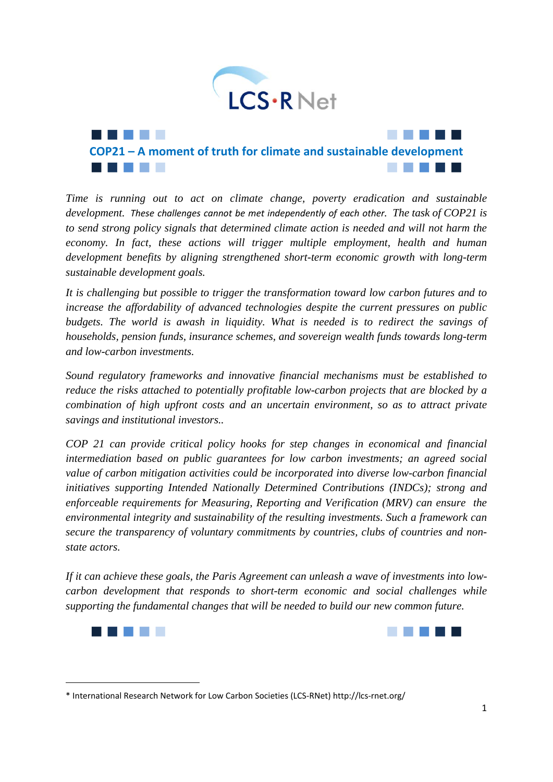

*Time is running out to act on climate change, poverty eradication and sustainable development. These challenges cannot be met independently of each other. The task of COP21 is to send strong policy signals that determined climate action is needed and will not harm the economy. In fact, these actions will trigger multiple employment, health and human development benefits by aligning strengthened short-term economic growth with long-term sustainable development goals.* 

*It is challenging but possible to trigger the transformation toward low carbon futures and to increase the affordability of advanced technologies despite the current pressures on public budgets. The world is awash in liquidity. What is needed is to redirect the savings of households, pension funds, insurance schemes, and sovereign wealth funds towards long-term and low-carbon investments.* 

*Sound regulatory frameworks and innovative financial mechanisms must be established to reduce the risks attached to potentially profitable low-carbon projects that are blocked by a combination of high upfront costs and an uncertain environment, so as to attract private savings and institutional investors..* 

*COP 21 can provide critical policy hooks for step changes in economical and financial intermediation based on public guarantees for low carbon investments; an agreed social value of carbon mitigation activities could be incorporated into diverse low-carbon financial initiatives supporting Intended Nationally Determined Contributions (INDCs); strong and enforceable requirements for Measuring, Reporting and Verification (MRV) can ensure the environmental integrity and sustainability of the resulting investments. Such a framework can secure the transparency of voluntary commitments by countries, clubs of countries and nonstate actors.* 

*If it can achieve these goals, the Paris Agreement can unleash a wave of investments into lowcarbon development that responds to short-term economic and social challenges while supporting the fundamental changes that will be needed to build our new common future.* 





<sup>\*</sup> International Research Network for Low Carbon Societies (LCS‐RNet) http://lcs‐rnet.org/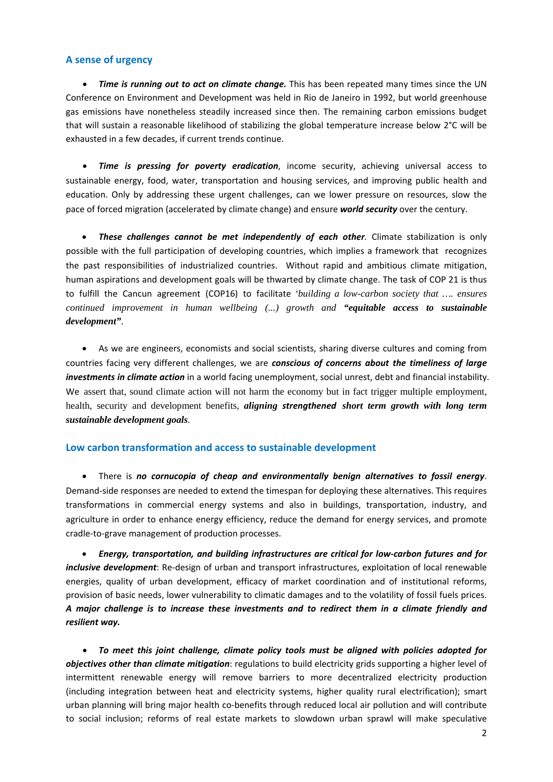## **A sense of urgency**

 *Time is running out to act on climate change.* This has been repeated many times since the UN Conference on Environment and Development was held in Rio de Janeiro in 1992, but world greenhouse gas emissions have nonetheless steadily increased since then. The remaining carbon emissions budget that will sustain a reasonable likelihood of stabilizing the global temperature increase below 2°C will be exhausted in a few decades, if current trends continue.

 *Time is pressing for poverty eradication*, income security, achieving universal access to sustainable energy, food, water, transportation and housing services, and improving public health and education. Only by addressing these urgent challenges, can we lower pressure on resources, slow the pace of forced migration (accelerated by climate change) and ensure *world security* over the century.

 *These challenges cannot be met independently of each other.* Climate stabilization is only possible with the full participation of developing countries, which implies a framework that recognizes the past responsibilities of industrialized countries. Without rapid and ambitious climate mitigation, human aspirations and development goals will be thwarted by climate change. The task of COP 21 is thus to fulfill the Cancun agreement (COP16) to facilitate *'building a low-carbon society that …. ensures continued improvement in human wellbeing (...) growth and "equitable access to sustainable development"*.

 As we are engineers, economists and social scientists, sharing diverse cultures and coming from countries facing very different challenges, we are *conscious of concerns about the timeliness of large investments in climate action* in a world facing unemployment, social unrest, debt and financial instability. We assert that, sound climate action will not harm the economy but in fact trigger multiple employment, health, security and development benefits, *aligning strengthened short term growth with long term sustainable development goals*.

### **Low carbon transformation and access to sustainable development**

 There is *no cornucopia of cheap and environmentally benign alternatives to fossil energy*. Demand‐side responses are needed to extend the timespan for deploying these alternatives. This requires transformations in commercial energy systems and also in buildings, transportation, industry, and agriculture in order to enhance energy efficiency, reduce the demand for energy services, and promote cradle‐to‐grave management of production processes.

 *Energy, transportation, and building infrastructures are critical for low‐carbon futures and for inclusive development*: Re‐design of urban and transport infrastructures, exploitation of local renewable energies, quality of urban development, efficacy of market coordination and of institutional reforms, provision of basic needs, lower vulnerability to climatic damages and to the volatility of fossil fuels prices. *A major challenge is to increase these investments and to redirect them in a climate friendly and resilient way.*

 *To meet this joint challenge, climate policy tools must be aligned with policies adopted for objectives other than climate mitigation*: regulations to build electricity grids supporting a higher level of intermittent renewable energy will remove barriers to more decentralized electricity production (including integration between heat and electricity systems, higher quality rural electrification); smart urban planning will bring major health co-benefits through reduced local air pollution and will contribute to social inclusion; reforms of real estate markets to slowdown urban sprawl will make speculative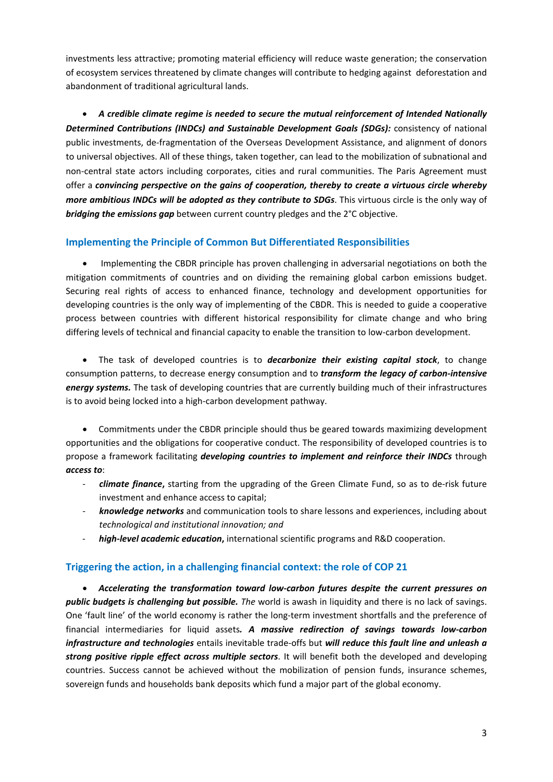investments less attractive; promoting material efficiency will reduce waste generation; the conservation of ecosystem services threatened by climate changes will contribute to hedging against deforestation and abandonment of traditional agricultural lands.

 *A credible climate regime is needed to secure the mutual reinforcement of Intended Nationally Determined Contributions (INDCs) and Sustainable Development Goals (SDGs):* consistency of national public investments, de‐fragmentation of the Overseas Development Assistance, and alignment of donors to universal objectives. All of these things, taken together, can lead to the mobilization of subnational and non‐central state actors including corporates, cities and rural communities. The Paris Agreement must offer a *convincing perspective on the gains of cooperation, thereby to create a virtuous circle whereby more ambitious INDCs will be adopted as they contribute to SDGs*. This virtuous circle is the only way of *bridging the emissions gap* between current country pledges and the 2°C objective.

## **Implementing the Principle of Common But Differentiated Responsibilities**

 Implementing the CBDR principle has proven challenging in adversarial negotiations on both the mitigation commitments of countries and on dividing the remaining global carbon emissions budget. Securing real rights of access to enhanced finance, technology and development opportunities for developing countries is the only way of implementing of the CBDR. This is needed to guide a cooperative process between countries with different historical responsibility for climate change and who bring differing levels of technical and financial capacity to enable the transition to low‐carbon development.

 The task of developed countries is to *decarbonize their existing capital stock*, to change consumption patterns, to decrease energy consumption and to *transform the legacy of carbon‐intensive energy systems.* The task of developing countries that are currently building much of their infrastructures is to avoid being locked into a high‐carbon development pathway.

 Commitments under the CBDR principle should thus be geared towards maximizing development opportunities and the obligations for cooperative conduct. The responsibility of developed countries is to propose a framework facilitating *developing countries to implement and reinforce their INDCs* through *access to*:

- ‐ *climate finance***,** starting from the upgrading of the Green Climate Fund, so as to de‐risk future investment and enhance access to capital;
- ‐ *knowledge networks* and communication tools to share lessons and experiences, including about *technological and institutional innovation; and*
- ‐ *high‐level academic education***,** international scientific programs and R&D cooperation.

# **Triggering the action, in a challenging financial context: the role of COP 21**

 *Accelerating the transformation toward low‐carbon futures despite the current pressures on public budgets is challenging but possible. The* world is awash in liquidity and there is no lack of savings. One 'fault line' of the world economy is rather the long-term investment shortfalls and the preference of financial intermediaries for liquid assets*. A massive redirection of savings towards low‐carbon infrastructure and technologies* entails inevitable trade‐offs but *will reduce this fault line and unleash a strong positive ripple effect across multiple sectors*. It will benefit both the developed and developing countries. Success cannot be achieved without the mobilization of pension funds, insurance schemes, sovereign funds and households bank deposits which fund a major part of the global economy.